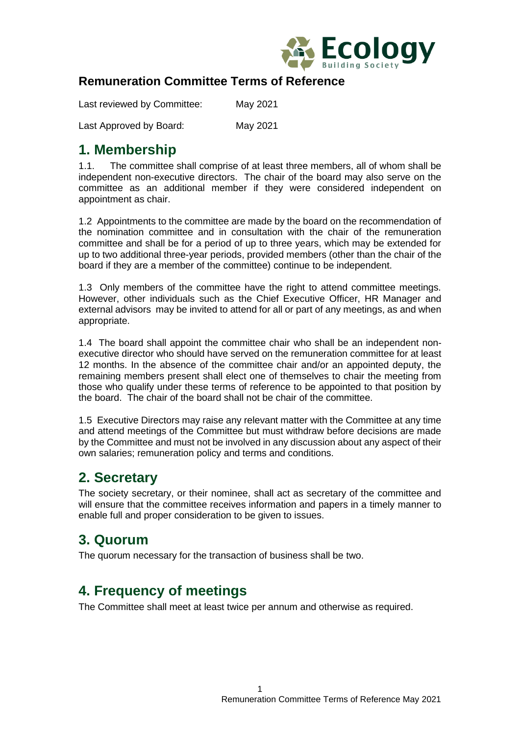

#### **Remuneration Committee Terms of Reference**

| Last reviewed by Committee: | May 2021 |  |
|-----------------------------|----------|--|
|                             |          |  |

Last Approved by Board: May 2021

#### **1. Membership**

1.1. The committee shall comprise of at least three members, all of whom shall be independent non-executive directors. The chair of the board may also serve on the committee as an additional member if they were considered independent on appointment as chair.

1.2 Appointments to the committee are made by the board on the recommendation of the nomination committee and in consultation with the chair of the remuneration committee and shall be for a period of up to three years, which may be extended for up to two additional three-year periods, provided members (other than the chair of the board if they are a member of the committee) continue to be independent.

1.3 Only members of the committee have the right to attend committee meetings. However, other individuals such as the Chief Executive Officer, HR Manager and external advisors may be invited to attend for all or part of any meetings, as and when appropriate.

1.4 The board shall appoint the committee chair who shall be an independent nonexecutive director who should have served on the remuneration committee for at least 12 months. In the absence of the committee chair and/or an appointed deputy, the remaining members present shall elect one of themselves to chair the meeting from those who qualify under these terms of reference to be appointed to that position by the board. The chair of the board shall not be chair of the committee.

1.5 Executive Directors may raise any relevant matter with the Committee at any time and attend meetings of the Committee but must withdraw before decisions are made by the Committee and must not be involved in any discussion about any aspect of their own salaries; remuneration policy and terms and conditions.

## **2. Secretary**

The society secretary, or their nominee, shall act as secretary of the committee and will ensure that the committee receives information and papers in a timely manner to enable full and proper consideration to be given to issues.

## **3. Quorum**

The quorum necessary for the transaction of business shall be two.

## **4. Frequency of meetings**

The Committee shall meet at least twice per annum and otherwise as required.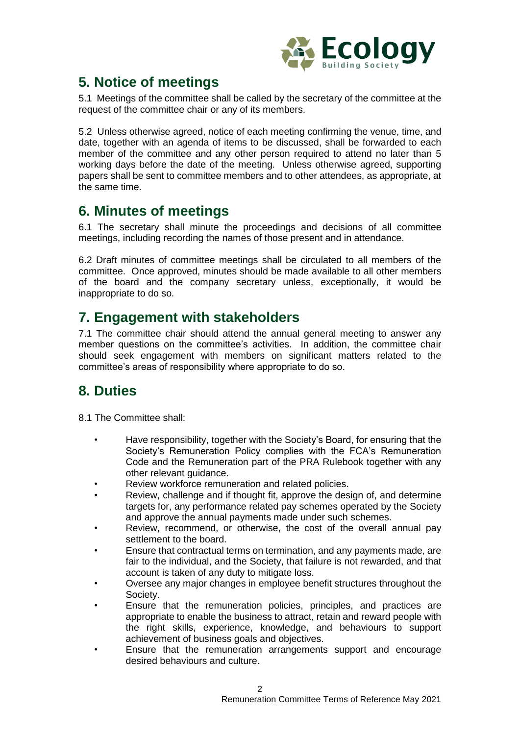

# **5. Notice of meetings**

5.1 Meetings of the committee shall be called by the secretary of the committee at the request of the committee chair or any of its members.

5.2 Unless otherwise agreed, notice of each meeting confirming the venue, time, and date, together with an agenda of items to be discussed, shall be forwarded to each member of the committee and any other person required to attend no later than 5 working days before the date of the meeting. Unless otherwise agreed, supporting papers shall be sent to committee members and to other attendees, as appropriate, at the same time.

### **6. Minutes of meetings**

6.1 The secretary shall minute the proceedings and decisions of all committee meetings, including recording the names of those present and in attendance.

6.2 Draft minutes of committee meetings shall be circulated to all members of the committee. Once approved, minutes should be made available to all other members of the board and the company secretary unless, exceptionally, it would be inappropriate to do so.

# **7. Engagement with stakeholders**

7.1 The committee chair should attend the annual general meeting to answer any member questions on the committee's activities. In addition, the committee chair should seek engagement with members on significant matters related to the committee's areas of responsibility where appropriate to do so.

# **8. Duties**

8.1 The Committee shall:

- Have responsibility, together with the Society's Board, for ensuring that the Society's Remuneration Policy complies with the FCA's Remuneration Code and the Remuneration part of the PRA Rulebook together with any other relevant guidance.
- Review workforce remuneration and related policies.
- Review, challenge and if thought fit, approve the design of, and determine targets for, any performance related pay schemes operated by the Society and approve the annual payments made under such schemes.
- Review, recommend, or otherwise, the cost of the overall annual pay settlement to the board.
- Ensure that contractual terms on termination, and any payments made, are fair to the individual, and the Society, that failure is not rewarded, and that account is taken of any duty to mitigate loss.
- Oversee any major changes in employee benefit structures throughout the Society.
- Ensure that the remuneration policies, principles, and practices are appropriate to enable the business to attract, retain and reward people with the right skills, experience, knowledge, and behaviours to support achievement of business goals and objectives.
- Ensure that the remuneration arrangements support and encourage desired behaviours and culture.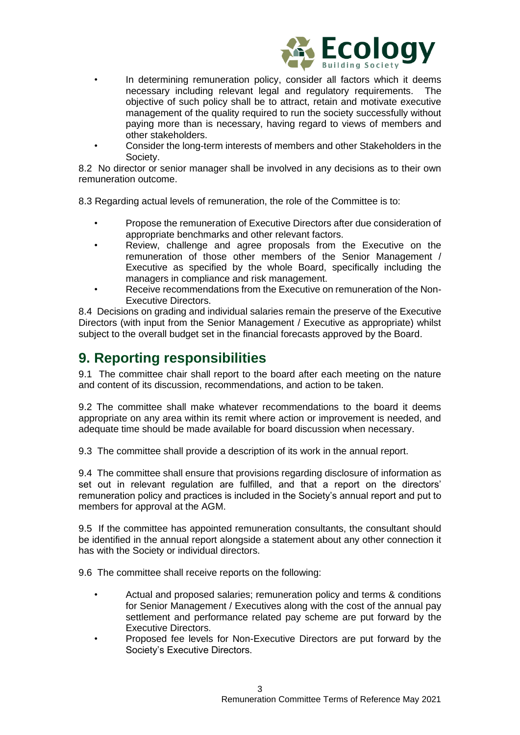

- In determining remuneration policy, consider all factors which it deems necessary including relevant legal and regulatory requirements. The objective of such policy shall be to attract, retain and motivate executive management of the quality required to run the society successfully without paying more than is necessary, having regard to views of members and other stakeholders.
- Consider the long-term interests of members and other Stakeholders in the Society.

8.2 No director or senior manager shall be involved in any decisions as to their own remuneration outcome.

8.3 Regarding actual levels of remuneration, the role of the Committee is to:

- Propose the remuneration of Executive Directors after due consideration of appropriate benchmarks and other relevant factors.
- Review, challenge and agree proposals from the Executive on the remuneration of those other members of the Senior Management / Executive as specified by the whole Board, specifically including the managers in compliance and risk management.
- Receive recommendations from the Executive on remuneration of the Non-Executive Directors.

8.4 Decisions on grading and individual salaries remain the preserve of the Executive Directors (with input from the Senior Management / Executive as appropriate) whilst subject to the overall budget set in the financial forecasts approved by the Board.

### **9. Reporting responsibilities**

9.1 The committee chair shall report to the board after each meeting on the nature and content of its discussion, recommendations, and action to be taken.

9.2 The committee shall make whatever recommendations to the board it deems appropriate on any area within its remit where action or improvement is needed, and adequate time should be made available for board discussion when necessary.

9.3 The committee shall provide a description of its work in the annual report.

9.4 The committee shall ensure that provisions regarding disclosure of information as set out in relevant regulation are fulfilled, and that a report on the directors' remuneration policy and practices is included in the Society's annual report and put to members for approval at the AGM.

9.5 If the committee has appointed remuneration consultants, the consultant should be identified in the annual report alongside a statement about any other connection it has with the Society or individual directors.

9.6 The committee shall receive reports on the following:

- Actual and proposed salaries; remuneration policy and terms & conditions for Senior Management / Executives along with the cost of the annual pay settlement and performance related pay scheme are put forward by the Executive Directors.
- Proposed fee levels for Non-Executive Directors are put forward by the Society's Executive Directors.